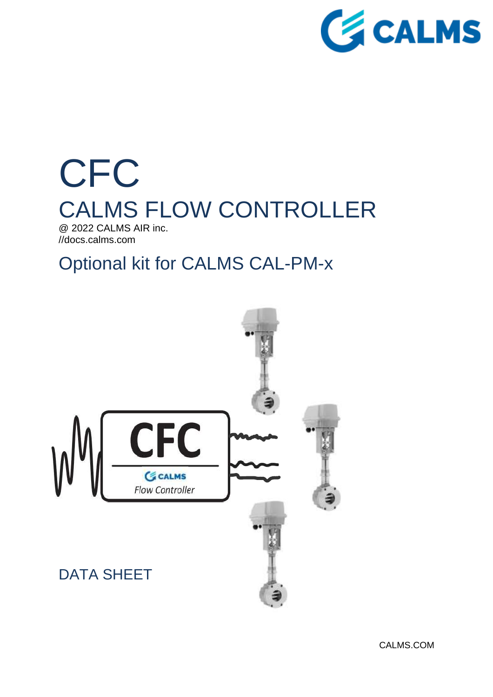

# **CFC** CALMS FLOW CONTROLLER @ 2022 CALMS AIR inc. //docs.calms.com

## Optional kit for CALMS CAL-PM-x

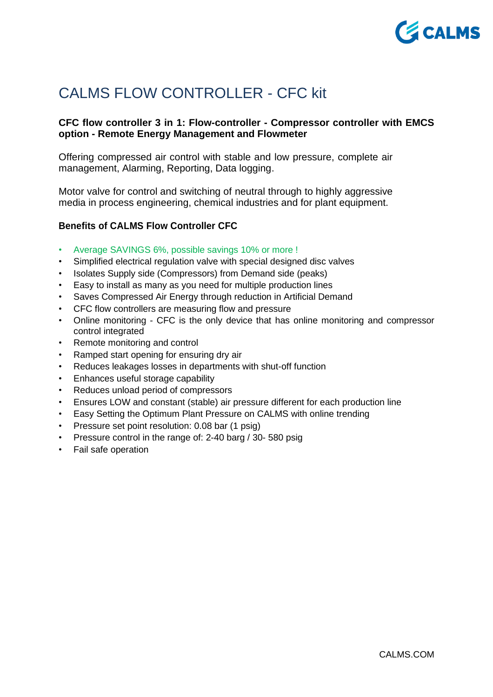

## CALMS FLOW CONTROLLER - CFC kit

## **CFC flow controller 3 in 1: Flow-controller - Compressor controller with EMCS option - Remote Energy Management and Flowmeter**

Offering compressed air control with stable and low pressure, complete air management, Alarming, Reporting, Data logging.

Motor valve for control and switching of neutral through to highly aggressive media in process engineering, chemical industries and for plant equipment.

#### **Benefits of CALMS Flow Controller CFC**

- Average SAVINGS 6%, possible savings 10% or more !
- Simplified electrical regulation valve with special designed disc valves
- Isolates Supply side (Compressors) from Demand side (peaks)
- Easy to install as many as you need for multiple production lines
- Saves Compressed Air Energy through reduction in Artificial Demand
- CFC flow controllers are measuring flow and pressure
- Online monitoring CFC is the only device that has online monitoring and compressor control integrated
- Remote monitoring and control
- Ramped start opening for ensuring dry air
- Reduces leakages losses in departments with shut-off function
- Enhances useful storage capability
- Reduces unload period of compressors
- Ensures LOW and constant (stable) air pressure different for each production line
- Easy Setting the Optimum Plant Pressure on CALMS with online trending
- Pressure set point resolution: 0.08 bar (1 psig)
- Pressure control in the range of: 2-40 barg / 30- 580 psig
- Fail safe operation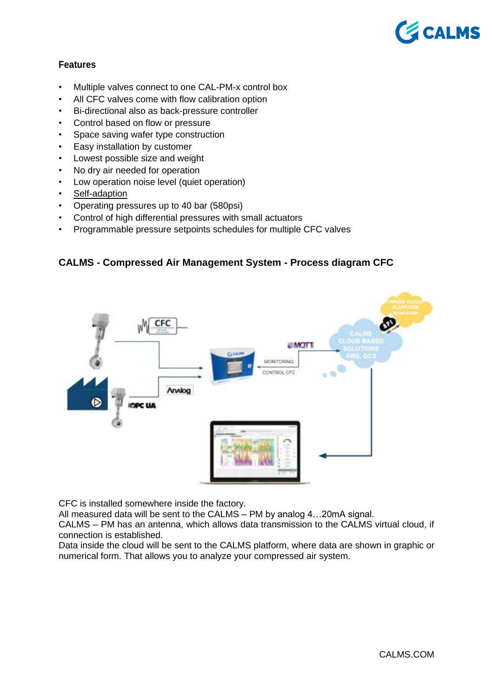

## **Features**

- Multiple valves connect to one CAL-PM-x control box
- All CFC valves come with flow calibration option
- Bi-directional also as back-pressure controller
- Control based on flow or pressure
- Space saving wafer type construction
- Easy installation by customer
- Lowest possible size and weight
- No dry air needed for operation
- Low operation noise level (quiet operation)
- Self-adaption
- Operating pressures up to 40 bar (580psi)
- Control of high differential pressures with small actuators
- Programmable pressure setpoints schedules for multiple CFC valves

#### **CALMS - Compressed Air Management System - Process diagram CFC**



CFC is installed somewhere inside the factory.

All measured data will be sent to the CALMS – PM by analog 4…20mA signal.

CALMS – PM has an antenna, which allows data transmission to the CALMS virtual cloud, if connection is established.

Data inside the cloud will be sent to the CALMS platform, where data are shown in graphic or numerical form. That allows you to analyze your compressed air system.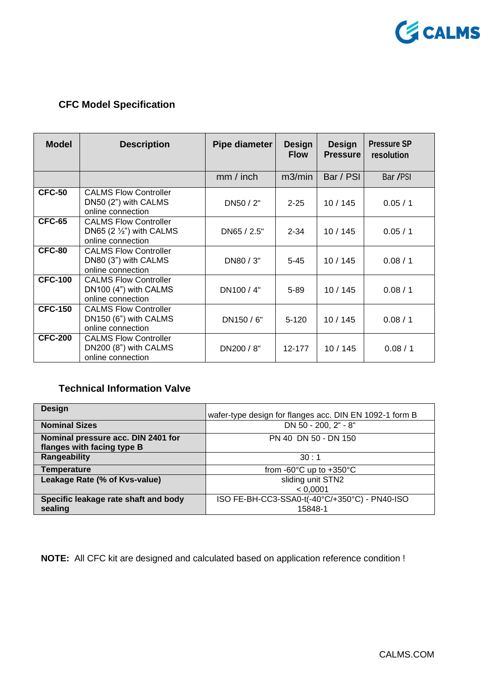

## **CFC Model Specification**

| <b>Model</b>   | <b>Description</b>                                                                     | Pipe diameter | <b>Design</b><br><b>Flow</b> | <b>Design</b><br><b>Pressure</b> | <b>Pressure SP</b><br>resolution |
|----------------|----------------------------------------------------------------------------------------|---------------|------------------------------|----------------------------------|----------------------------------|
|                |                                                                                        | mm / inch     | m3/min                       | Bar / PSI                        | Bar /PSI                         |
| <b>CFC-50</b>  | <b>CALMS Flow Controller</b><br>DN50 (2") with CALMS<br>online connection              | DN50 / 2"     | $2 - 25$                     | 10/145                           | 0.05/1                           |
| <b>CFC-65</b>  | <b>CALMS Flow Controller</b><br>DN65 $(2 \frac{1}{2})$ with CALMS<br>online connection | DN65 / 2.5"   | $2 - 34$                     | 10/145                           | 0.05/1                           |
| <b>CFC-80</b>  | <b>CALMS Flow Controller</b><br>DN80 (3") with CALMS<br>online connection              | DN80 / 3"     | $5 - 45$                     | 10/145                           | 0.08 / 1                         |
| $CFC-100$      | <b>CALMS Flow Controller</b><br>DN100 (4") with CALMS<br>online connection             | DN100 / 4"    | $5 - 89$                     | 10/145                           | 0.08/1                           |
| <b>CFC-150</b> | <b>CALMS Flow Controller</b><br>DN150 (6") with CALMS<br>online connection             | DN150 / 6"    | $5 - 120$                    | 10/145                           | 0.08 / 1                         |
| <b>CFC-200</b> | <b>CALMS Flow Controller</b><br>DN200 (8") with CALMS<br>online connection             | DN200 / 8"    | 12-177                       | 10/145                           | 0.08 / 1                         |

## **Technical Information Valve**

| <b>Design</b>                                                    | wafer-type design for flanges acc. DIN EN 1092-1 form B |
|------------------------------------------------------------------|---------------------------------------------------------|
| <b>Nominal Sizes</b>                                             | DN 50 - 200, 2" - 8"                                    |
| Nominal pressure acc. DIN 2401 for<br>flanges with facing type B | PN 40 DN 50 - DN 150                                    |
| Rangeability                                                     | 30:1                                                    |
| <b>Temperature</b>                                               | from -60 $\degree$ C up to +350 $\degree$ C             |
| Leakage Rate (% of Kvs-value)                                    | sliding unit STN2                                       |
|                                                                  | < 0.0001                                                |
| Specific leakage rate shaft and body                             | ISO FE-BH-CC3-SSA0-t(-40°C/+350°C) - PN40-ISO           |
| sealing                                                          | 15848-1                                                 |

**NOTE:** All CFC kit are designed and calculated based on application reference condition !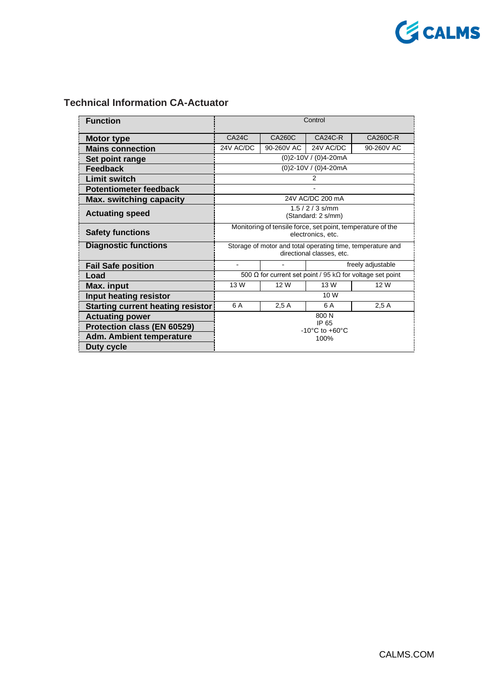

## **Technical Information CA-Actuator**

| <b>Function</b>                          | Control                                                                                 |            |           |            |
|------------------------------------------|-----------------------------------------------------------------------------------------|------------|-----------|------------|
| <b>Motor type</b>                        | CA24C                                                                                   | CA260C     | $CA24C-R$ | CA260C-R   |
| <b>Mains connection</b>                  | 24V AC/DC                                                                               | 90-260V AC | 24V AC/DC | 90-260V AC |
| Set point range                          | (0)2-10V / (0)4-20mA                                                                    |            |           |            |
| <b>Feedback</b>                          | (0)2-10V / (0)4-20mA                                                                    |            |           |            |
| <b>Limit switch</b>                      | 2                                                                                       |            |           |            |
| <b>Potentiometer feedback</b>            |                                                                                         |            |           |            |
| <b>Max. switching capacity</b>           | 24V AC/DC 200 mA                                                                        |            |           |            |
| <b>Actuating speed</b>                   | $1.5 / 2 / 3$ s/mm<br>(Standard: 2 s/mm)                                                |            |           |            |
| <b>Safety functions</b>                  | Monitoring of tensile force, set point, temperature of the<br>electronics, etc.         |            |           |            |
| <b>Diagnostic functions</b>              | Storage of motor and total operating time, temperature and<br>directional classes, etc. |            |           |            |
| <b>Fail Safe position</b>                | freely adjustable<br>$\blacksquare$                                                     |            |           |            |
| Load                                     | 500 $\Omega$ for current set point / 95 k $\Omega$ for voltage set point                |            |           |            |
| Max. input                               | 13 W                                                                                    | 12 W       | 13 W      | 12 W       |
| Input heating resistor                   | 10 W                                                                                    |            |           |            |
| <b>Starting current heating resistor</b> | 6 A                                                                                     | 2.5A       | 6 A       | 2.5A       |
| <b>Actuating power</b>                   | 800 N                                                                                   |            |           |            |
| Protection class (EN 60529)              | IP 65<br>$-10^{\circ}$ C to $+60^{\circ}$ C                                             |            |           |            |
| <b>Adm. Ambient temperature</b>          | 100%                                                                                    |            |           |            |
| Duty cycle                               |                                                                                         |            |           |            |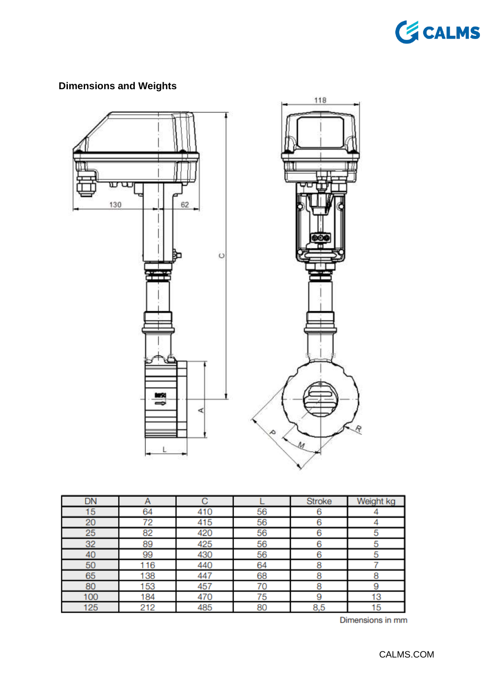

## **Dimensions and Weights**



| DN  | А   |     |    | <b>Stroke</b> | Weight kg |
|-----|-----|-----|----|---------------|-----------|
| 15  | 64  | 410 | 56 | 6             |           |
| 20  | 72  | 415 | 56 | 6             |           |
| 25  | 82  | 420 | 56 | 6             | 5         |
| 32  | 89  | 425 | 56 | 6             | 5         |
| 40  | 99  | 430 | 56 | 6             | 5         |
| 50  | 116 | 440 | 64 | 8             |           |
| 65  | 138 | 447 | 68 | 8             | 8         |
| 80  | 153 | 457 | 70 | 8             | 9         |
| 100 | 184 | 470 | 75 | 9             | 13        |
| 125 | 212 | 485 | 80 | 8,5           | 15        |

Dimensions in mm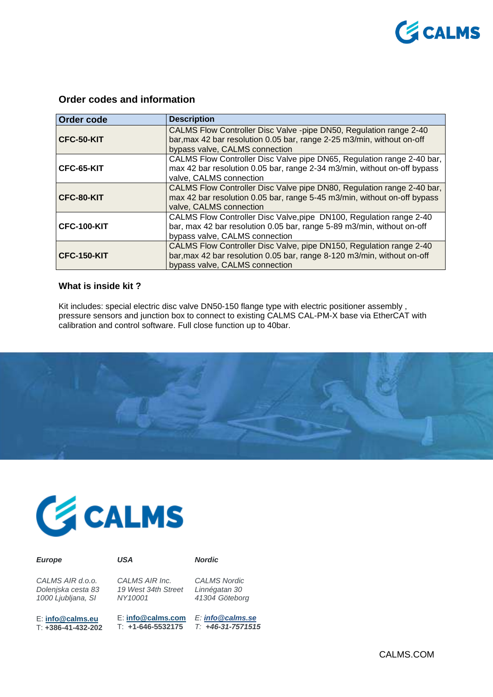

### **Order codes and information**

| <b>Order code</b>  | <b>Description</b>                                                                                                                                                               |
|--------------------|----------------------------------------------------------------------------------------------------------------------------------------------------------------------------------|
| CFC-50-KIT         | CALMS Flow Controller Disc Valve -pipe DN50, Regulation range 2-40<br>bar, max 42 bar resolution 0.05 bar, range 2-25 m3/min, without on-off<br>bypass valve, CALMS connection   |
| CFC-65-KIT         | CALMS Flow Controller Disc Valve pipe DN65, Regulation range 2-40 bar,<br>max 42 bar resolution 0.05 bar, range 2-34 m3/min, without on-off bypass<br>valve, CALMS connection    |
| CFC-80-KIT         | CALMS Flow Controller Disc Valve pipe DN80, Regulation range 2-40 bar,<br>max 42 bar resolution 0.05 bar, range 5-45 m3/min, without on-off bypass<br>valve, CALMS connection    |
| <b>CFC-100-KIT</b> | CALMS Flow Controller Disc Valve, pipe DN100, Regulation range 2-40<br>bar, max 42 bar resolution 0.05 bar, range 5-89 m3/min, without on-off<br>bypass valve, CALMS connection  |
| <b>CFC-150-KIT</b> | CALMS Flow Controller Disc Valve, pipe DN150, Regulation range 2-40<br>bar, max 42 bar resolution 0.05 bar, range 8-120 m3/min, without on-off<br>bypass valve, CALMS connection |

#### **What is inside kit ?**

Kit includes: special electric disc valve DN50-150 flange type with electric positioner assembly, pressure sensors and junction box to connect to existing CALMS CAL-PM-X base via EtherCAT with calibration and control software. Full close function up to 40bar.





| <b>Europe</b>      | USA                 | <b>Nordic</b>       |
|--------------------|---------------------|---------------------|
| CALMS AIR d.o.o.   | CALMS AIR Inc.      | <b>CALMS Nordic</b> |
| Dolenjska cesta 83 | 19 West 34th Street | Linnégatan 30       |
| 1000 Ljubljana, SI | NY10001             | 41304 Göteborg      |

E: **[info@calms.com](mailto:info@calms.com)** T: **+1-646-5532175**

E: **[info@calms.eu](mailto:info@calms.com)** T: **+386-41-432-202** *E: [info@calms.se](mailto:info@calms.se) T: +46-31-7571515*